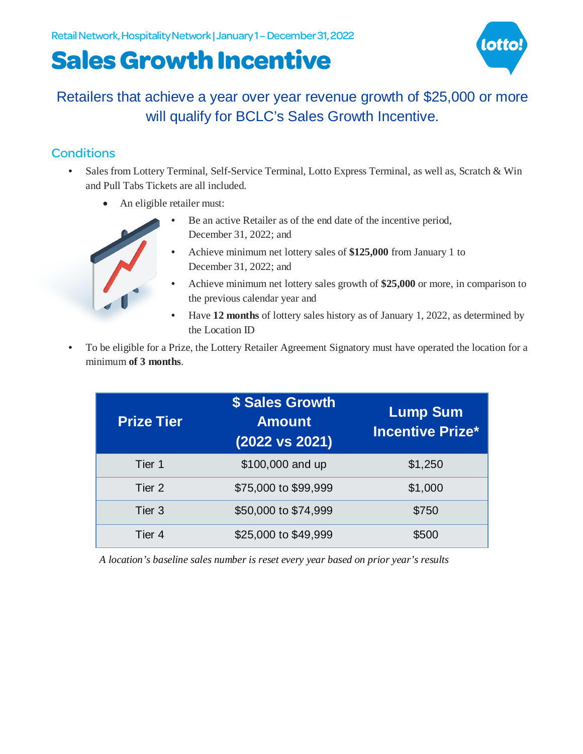# **Sales Growth Incentive**



### Retailers that achieve a year over year revenue growth of \$25,000 or more will qualify for BCLC's Sales Growth Incentive.

#### **Conditions**

- Sales from Lottery Terminal, Self-Service Terminal, Lotto Express Terminal, as well as, Scratch & Win and Pull Tabs Tickets are all included.
	- An eligible retailer must:
		- Be an active Retailer as of the end date of the incentive period, December 31, 2022; and
		- Achieve minimum net lottery sales of **\$125,000** from January 1 to December 31, 2022; and
		- Achieve minimum net lottery sales growth of **\$25,000** or more, in comparison to the previous calendar year and
		- Have **12 months** of lottery sales history as of January 1, 2022, as determined by the Location ID
- To be eligible for a Prize, the Lottery Retailer Agreement Signatory must have operated the location for a minimum **of 3 months**.

| <b>Prize Tier</b> | \$ Sales Growth<br><b>Amount</b><br>(2022 vs 2021) | <b>Lump Sum</b><br><b>Incentive Prize*</b> |
|-------------------|----------------------------------------------------|--------------------------------------------|
| Tier 1            | \$100,000 and up                                   | \$1,250                                    |
| Tier <sub>2</sub> | \$75,000 to \$99,999                               | \$1,000                                    |
| Tier 3            | \$50,000 to \$74,999                               | \$750                                      |
| Tier <sub>4</sub> | \$25,000 to \$49,999                               | \$500                                      |

*A location's baseline sales number is reset every year based on prior year's results*